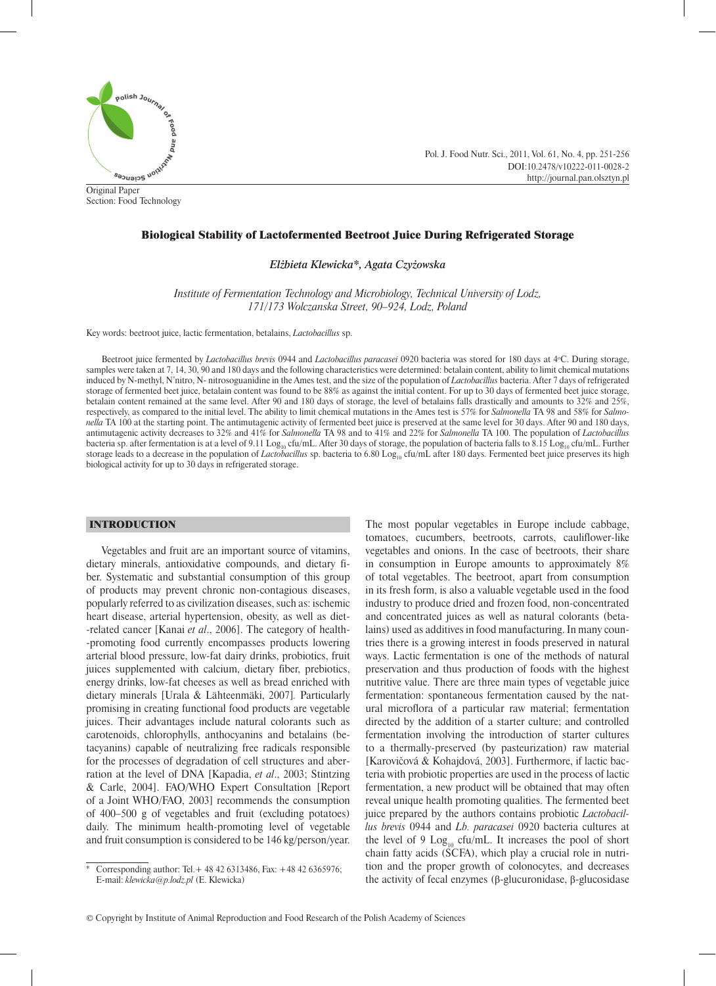

Original Paper Section: Food Technology Pol. J. Food Nutr. Sci., 2011, Vol. 61, No. 4, pp. 251-256 DOI:10.2478/v10222-011-0028-2 http://journal.pan.olsztyn.pl

# Biological Stability of Lactofermented Beetroot Juice During Refrigerated Storage

*Elżbieta Klewicka\*, Agata Czyżowska*

*Institute of Fermentation Technology and Microbiology, Technical University of Lodz, 171/173 Wolczanska Street, 90–924, Lodz, Poland*

Key words: beetroot juice, lactic fermentation, betalains, *Lactobacillus* sp.

Beetroot juice fermented by *Lactobacillus brevis* 0944 and *Lactobacillus paracasei* 0920 bacteria was stored for 180 days at 4°C. During storage, samples were taken at 7, 14, 30, 90 and 180 days and the following characteristics were determined: betalain content, ability to limit chemical mutations induced by N-methyl, N'nitro, N- nitrosoguanidine in the Ames test, and the size of the population of *Lactobacillus* bacteria. After 7 days of refrigerated storage of fermented beet juice, betalain content was found to be 88% as against the initial content. For up to 30 days of fermented beet juice storage, betalain content remained at the same level. After 90 and 180 days of storage, the level of betalains falls drastically and amounts to 32% and 25%, respectively, as compared to the initial level. The ability to limit chemical mutations in the Ames test is 57% for *Salmonella* TA 98 and 58% for *Salmonella* TA 100 at the starting point. The antimutagenic activity of fermented beet juice is preserved at the same level for 30 days. After 90 and 180 days, antimutagenic activity decreases to 32% and 41% for *Salmonella* TA 98 and to 41% and 22% for *Salmonella* TA 100. The population of *Lactobacillus* bacteria sp. after fermentation is at a level of 9.11  $\rm{Log_{10}}$  cfu/mL. After 30 days of storage, the population of bacteria falls to 8.15  $\rm{Log_{10}}$  cfu/mL. Further storage leads to a decrease in the population of *Lactobacillus* sp. bacteria to 6.80 Log<sub>10</sub> cfu/mL after 180 days. Fermented beet juice preserves its high biological activity for up to 30 days in refrigerated storage.

## INTRODUCTION

Vegetables and fruit are an important source of vitamins, dietary minerals, antioxidative compounds, and dietary fiber. Systematic and substantial consumption of this group of products may prevent chronic non-contagious diseases, popularly referred to as civilization diseases, such as: ischemic heart disease, arterial hypertension, obesity, as well as diet- -related cancer [Kanai *et al*., 2006]. The category of health- -promoting food currently encompasses products lowering arterial blood pressure, low-fat dairy drinks, probiotics, fruit juices supplemented with calcium, dietary fiber, prebiotics, energy drinks, low-fat cheeses as well as bread enriched with dietary minerals [Urala & Lähteenmäki, 2007]*.* Particularly promising in creating functional food products are vegetable juices. Their advantages include natural colorants such as carotenoids, chlorophylls, anthocyanins and betalains (betacyanins) capable of neutralizing free radicals responsible for the processes of degradation of cell structures and aberration at the level of DNA [Kapadia, *et al*., 2003; Stintzing & Carle, 2004]. FAO/WHO Expert Consultation [Report of a Joint WHO/FAO, 2003] recommends the consumption of 400–500 g of vegetables and fruit (excluding potatoes) daily. The minimum health-promoting level of vegetable and fruit consumption is considered to be 146 kg/person/year. The most popular vegetables in Europe include cabbage, tomatoes, cucumbers, beetroots, carrots, cauliflower-like vegetables and onions. In the case of beetroots, their share in consumption in Europe amounts to approximately 8% of total vegetables. The beetroot, apart from consumption in its fresh form, is also a valuable vegetable used in the food industry to produce dried and frozen food, non-concentrated and concentrated juices as well as natural colorants (betalains) used as additives in food manufacturing. In many countries there is a growing interest in foods preserved in natural ways. Lactic fermentation is one of the methods of natural preservation and thus production of foods with the highest nutritive value. There are three main types of vegetable juice fermentation: spontaneous fermentation caused by the natural microflora of a particular raw material; fermentation directed by the addition of a starter culture; and controlled fermentation involving the introduction of starter cultures to a thermally-preserved (by pasteurization) raw material [Karovičová & Kohajdová, 2003]. Furthermore, if lactic bacteria with probiotic properties are used in the process of lactic fermentation, a new product will be obtained that may often reveal unique health promoting qualities. The fermented beet juice prepared by the authors contains probiotic *Lactobacillus brevis* 0944 and *Lb. paracasei* 0920 bacteria cultures at the level of 9  $Log_{10}$  cfu/mL. It increases the pool of short chain fatty acids (SCFA), which play a crucial role in nutrition and the proper growth of colonocytes, and decreases the activity of fecal enzymes (β-glucuronidase, β-glucosidase

Corresponding author: Tel. + 48 42 6313486, Fax: +48 42 6365976; E-mail: *klewicka@p.lodz.pl* (E. Klewicka)

<sup>©</sup> Copyright by Institute of Animal Reproduction and Food Research of the Polish Academy of Sciences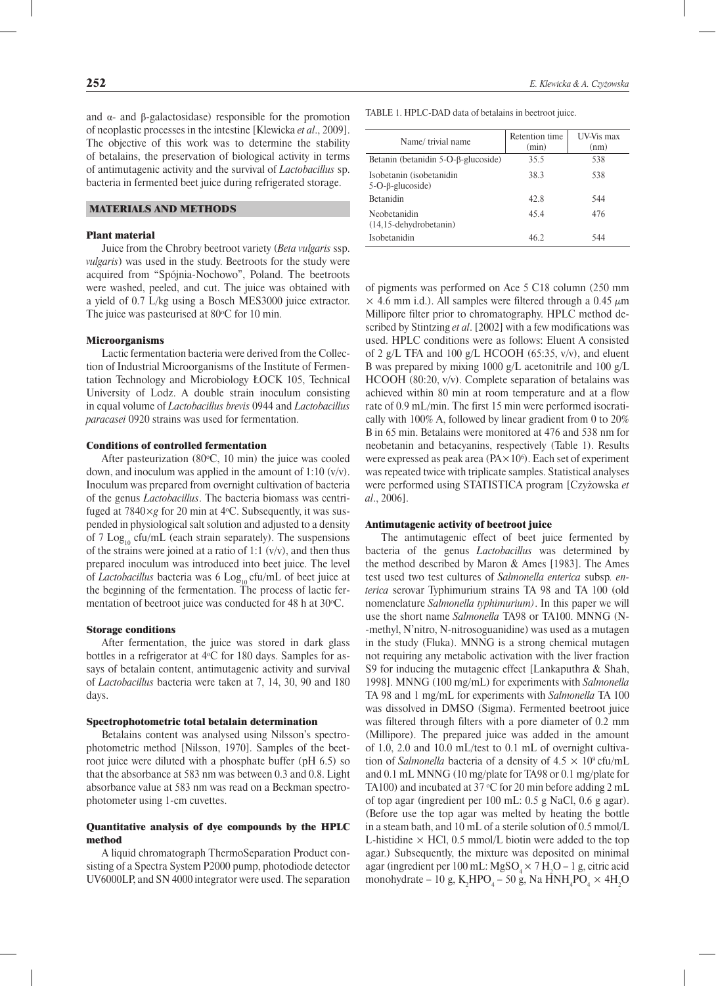and  $α$ - and β-galactosidase) responsible for the promotion of neoplastic processes in the intestine [Klewicka *et al*., 2009]. The objective of this work was to determine the stability of betalains, the preservation of biological activity in terms of antimutagenic activity and the survival of *Lactobacillus* sp. bacteria in fermented beet juice during refrigerated storage.

# MATERIALS AND METHODS

## Plant material

Juice from the Chrobry beetroot variety (*Beta vulgaris* ssp. *vulgaris*) was used in the study. Beetroots for the study were acquired from "Spójnia-Nochowo", Poland. The beetroots were washed, peeled, and cut. The juice was obtained with a yield of 0.7 L/kg using a Bosch MES3000 juice extractor. The juice was pasteurised at  $80^{\circ}$ C for 10 min.

#### Microorganisms

Lactic fermentation bacteria were derived from the Collection of Industrial Microorganisms of the Institute of Fermentation Technology and Microbiology ŁOCK 105, Technical University of Lodz. A double strain inoculum consisting in equal volume of *Lactobacillus brevis* 0944 and *Lactobacillus paracasei* 0920 strains was used for fermentation.

#### Conditions of controlled fermentation

After pasteurization  $(80^{\circ}C, 10 \text{ min})$  the juice was cooled down, and inoculum was applied in the amount of 1:10 (v/v). Inoculum was prepared from overnight cultivation of bacteria of the genus *Lactobacillus*. The bacteria biomass was centrifuged at 7840×*g* for 20 min at 4°C. Subsequently, it was suspended in physiological salt solution and adjusted to a density of 7 Log<sub>10</sub> cfu/mL (each strain separately). The suspensions of the strains were joined at a ratio of 1:1  $(v/v)$ , and then thus prepared inoculum was introduced into beet juice. The level of *Lactobacillus* bacteria was 6 Log<sub>10</sub> cfu/mL of beet juice at the beginning of the fermentation. The process of lactic fermentation of beetroot juice was conducted for 48 h at 30 °C.

#### Storage conditions

After fermentation, the juice was stored in dark glass bottles in a refrigerator at 4°C for 180 days. Samples for assays of betalain content, antimutagenic activity and survival of *Lactobacillus* bacteria were taken at 7, 14, 30, 90 and 180 days.

#### Spectrophotometric total betalain determination

Betalains content was analysed using Nilsson's spectrophotometric method [Nilsson, 1970]. Samples of the beetroot juice were diluted with a phosphate buffer (pH 6.5) so that the absorbance at 583 nm was between 0.3 and 0.8. Light absorbance value at 583 nm was read on a Beckman spectrophotometer using 1-cm cuvettes.

## Quantitative analysis of dye compounds by the HPLC method

A liquid chromatograph ThermoSeparation Product consisting of a Spectra System P2000 pump, photodiode detector UV6000LP, and SN 4000 integrator were used. The separation TABLE 1. HPLC-DAD data of betalains in beetroot juice.

| Name/trivial name                                       | Retention time<br>(min) | UV-Vis max<br>(nm) |
|---------------------------------------------------------|-------------------------|--------------------|
| Betanin (betanidin $5$ -O- $\beta$ -glucoside)          | 35.5                    | 538                |
| Isobetanin (isobetanidin<br>$5-O$ - $\beta$ -glucoside) | 38.3                    | 538                |
| <b>Betanidin</b>                                        | 42.8                    | 544                |
| Neobetanidin<br>$(14, 15$ -dehydrobetanin)              | 45.4                    | 476                |
| Isobetanidin                                            | 46.2                    | 544                |

of pigments was performed on Ace 5 C18 column (250 mm  $\times$  4.6 mm i.d.). All samples were filtered through a 0.45  $\mu$ m Millipore filter prior to chromatography. HPLC method described by Stintzing *et al*. [2002] with a few modifications was used. HPLC conditions were as follows: Eluent A consisted of 2 g/L TFA and 100 g/L HCOOH (65:35,  $v/v$ ), and eluent B was prepared by mixing 1000 g/L acetonitrile and 100 g/L HCOOH (80:20, v/v). Complete separation of betalains was achieved within 80 min at room temperature and at a flow rate of 0.9 mL/min. The first 15 min were performed isocratically with 100% A, followed by linear gradient from 0 to 20% B in 65 min. Betalains were monitored at 476 and 538 nm for neobetanin and betacyanins, respectively (Table 1). Results were expressed as peak area ( $\text{PA} \times 10^6$ ). Each set of experiment was repeated twice with triplicate samples. Statistical analyses were performed using STATISTICA program [Czyżowska *et al*., 2006].

## Antimutagenic activity of beetroot juice

The antimutagenic effect of beet juice fermented by bacteria of the genus *Lactobacillus* was determined by the method described by Maron & Ames [1983]. The Ames test used two test cultures of *Salmonella enterica* subsp*. enterica* serovar Typhimurium strains TA 98 and TA 100 (old nomenclature *Salmonella typhimurium)*. In this paper we will use the short name *Salmonella* TA98 or TA100. MNNG (N- -methyl, N'nitro, N-nitrosoguanidine) was used as a mutagen in the study (Fluka). MNNG is a strong chemical mutagen not requiring any metabolic activation with the liver fraction S9 for inducing the mutagenic effect [Lankaputhra & Shah, 1998]. MNNG (100 mg/mL) for experiments with *Salmonella* TA 98 and 1 mg/mL for experiments with *Salmonella* TA 100 was dissolved in DMSO (Sigma). Fermented beetroot juice was filtered through filters with a pore diameter of 0.2 mm (Millipore). The prepared juice was added in the amount of 1.0, 2.0 and 10.0 mL/test to 0.1 mL of overnight cultivation of *Salmonella* bacteria of a density of  $4.5 \times 10^9$  cfu/mL and 0.1 mL MNNG (10 mg/plate for TA98 or 0.1 mg/plate for TA100) and incubated at 37 °C for 20 min before adding 2 mL of top agar (ingredient per 100 mL: 0.5 g NaCl, 0.6 g agar). (Before use the top agar was melted by heating the bottle in a steam bath, and 10 mL of a sterile solution of 0.5 mmol/L L-histidine  $\times$  HCl, 0.5 mmol/L biotin were added to the top agar.) Subsequently, the mixture was deposited on minimal agar (ingredient per 100 mL:  $MgSO_4 \times 7 H_2O - 1 g$ , citric acid monohydrate – 10 g,  $K_2 HPO_4$  – 50 g, Na  $HNH_4PO_4 \times 4H_2O$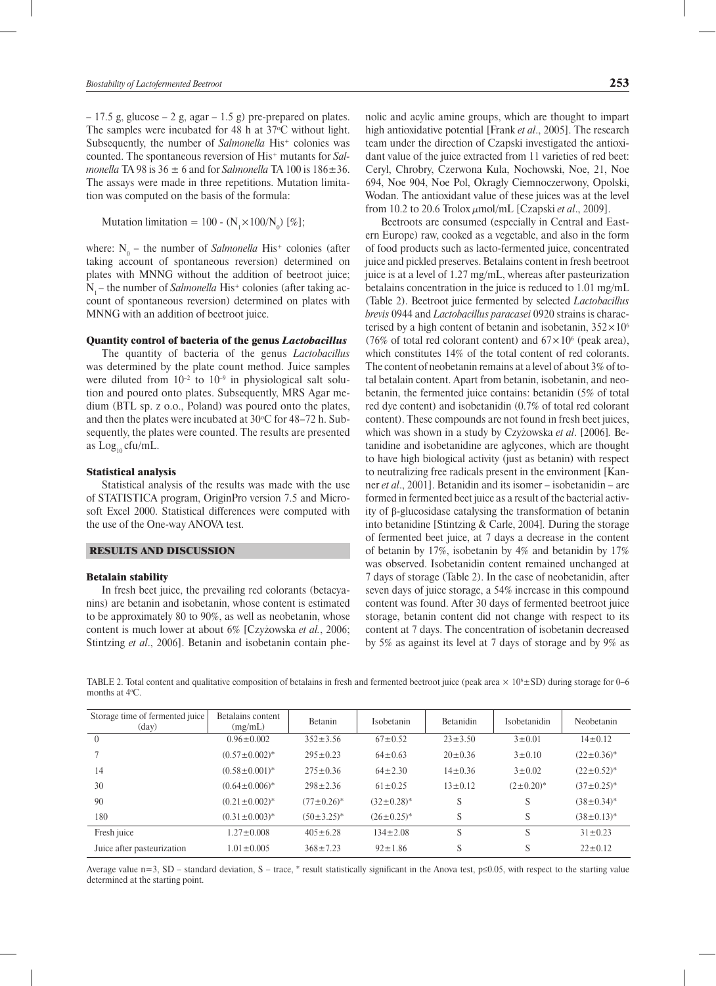$-17.5$  g, glucose  $-2$  g, agar  $-1.5$  g) pre-prepared on plates. The samples were incubated for 48 h at  $37^{\circ}$ C without light. Subsequently, the number of *Salmonella* His<sup>+</sup> colonies was counted. The spontaneous reversion of His+ mutants for *Salmonella* TA 98 is  $36 \pm 6$  and for *Salmonella* TA 100 is  $186 \pm 36$ . The assays were made in three repetitions. Mutation limitation was computed on the basis of the formula:

Mutation limitation = 100 -  $(N_1 \times 100/N_0)$  [%];

where: N<sub>0</sub> – the number of *Salmonella* His<sup>+</sup> colonies (after taking account of spontaneous reversion) determined on plates with MNNG without the addition of beetroot juice; N<sub>1</sub> – the number of *Salmonella* His<sup>+</sup> colonies (after taking account of spontaneous reversion) determined on plates with MNNG with an addition of beetroot juice.

### Quantity control of bacteria of the genus *Lactobacillus*

The quantity of bacteria of the genus *Lactobacillus* was determined by the plate count method. Juice samples were diluted from  $10^{-2}$  to  $10^{-9}$  in physiological salt solution and poured onto plates. Subsequently, MRS Agar medium (BTL sp. z o.o., Poland) was poured onto the plates, and then the plates were incubated at  $30^{\circ}$ C for 48–72 h. Subsequently, the plates were counted. The results are presented as  $Log_{10}$  cfu/mL.

#### Statistical analysis

Statistical analysis of the results was made with the use of STATISTICA program, OriginPro version 7.5 and Microsoft Excel 2000. Statistical differences were computed with the use of the One-way ANOVA test.

#### RESULTS AND DISCUSSION

#### Betalain stability

In fresh beet juice, the prevailing red colorants (betacyanins) are betanin and isobetanin, whose content is estimated to be approximately 80 to 90%, as well as neobetanin, whose content is much lower at about 6% [Czyżowska *et al.*, 2006; Stintzing *et al*., 2006]. Betanin and isobetanin contain phenolic and acylic amine groups, which are thought to impart high antioxidative potential [Frank *et al*., 2005]. The research team under the direction of Czapski investigated the antioxidant value of the juice extracted from 11 varieties of red beet: Ceryl, Chrobry, Czerwona Kula, Nochowski, Noe, 21, Noe 694, Noe 904, Noe Pol, Okragły Ciemnoczerwony, Opolski, Wodan. The antioxidant value of these juices was at the level from 10.2 to 20.6 Trolox µmol/mL [Czapski *et al*., 2009].

Beetroots are consumed (especially in Central and Eastern Europe) raw, cooked as a vegetable, and also in the form of food products such as lacto-fermented juice, concentrated juice and pickled preserves. Betalains content in fresh beetroot juice is at a level of 1.27 mg/mL, whereas after pasteurization betalains concentration in the juice is reduced to 1.01 mg/mL (Table 2). Beetroot juice fermented by selected *Lactobacillus brevis* 0944 and *Lactobacillus paracasei* 0920 strains is characterised by a high content of betanin and isobetanin,  $352 \times 10^6$ (76% of total red colorant content) and  $67 \times 10^6$  (peak area), which constitutes 14% of the total content of red colorants. The content of neobetanin remains at a level of about 3% of total betalain content. Apart from betanin, isobetanin, and neobetanin, the fermented juice contains: betanidin (5% of total red dye content) and isobetanidin (0.7% of total red colorant content). These compounds are not found in fresh beet juices, which was shown in a study by Czyżowska *et al*. [2006]*.* Betanidine and isobetanidine are aglycones, which are thought to have high biological activity (just as betanin) with respect to neutralizing free radicals present in the environment [Kanner *et al*., 2001]. Betanidin and its isomer – isobetanidin – are formed in fermented beet juice as a result of the bacterial activity of β-glucosidase catalysing the transformation of betanin into betanidine [Stintzing & Carle, 2004]*.* During the storage of fermented beet juice, at 7 days a decrease in the content of betanin by 17%, isobetanin by 4% and betanidin by 17% was observed. Isobetanidin content remained unchanged at 7 days of storage (Table 2). In the case of neobetanidin, after seven days of juice storage, a 54% increase in this compound content was found. After 30 days of fermented beetroot juice storage, betanin content did not change with respect to its content at 7 days. The concentration of isobetanin decreased by 5% as against its level at 7 days of storage and by 9% as

TABLE 2. Total content and qualitative composition of betalains in fresh and fermented beetroot juice (peak area  $\times$  10<sup>6</sup> ± SD) during storage for 0–6 months at 4o C.

| Storage time of fermented juice<br>$\text{(day)}$ | Betalains content<br>(mg/mL) | <b>Betanin</b>    | Isobetanin        | <b>Betanidin</b> | Isobetanidin      | Neobetanin        |
|---------------------------------------------------|------------------------------|-------------------|-------------------|------------------|-------------------|-------------------|
| $\theta$                                          | $0.96 \pm 0.002$             | $352 \pm 3.56$    | $67 \pm 0.52$     | $23 \pm 3.50$    | $3 \pm 0.01$      | $14 \pm 0.12$     |
|                                                   | $(0.57 \pm 0.002)^*$         | $295 \pm 0.23$    | $64 \pm 0.63$     | $20 \pm 0.36$    | $3 \pm 0.10$      | $(22 \pm 0.36)^*$ |
| 14                                                | $(0.58 \pm 0.001)^*$         | $275 \pm 0.36$    | $64 \pm 2.30$     | $14\pm0.36$      | $3 \pm 0.02$      | $(22 \pm 0.52)^*$ |
| 30                                                | $(0.64 \pm 0.006)^*$         | $298 \pm 2.36$    | $61 \pm 0.25$     | $13 \pm 0.12$    | $(2\pm 0.20)^{*}$ | $(37 \pm 0.25)^*$ |
| 90                                                | $(0.21 \pm 0.002)^*$         | $(77 \pm 0.26)^*$ | $(32 \pm 0.28)^*$ | S                | S                 | $(38 \pm 0.34)^*$ |
| 180                                               | $(0.31 \pm 0.003)^*$         | $(50\pm3.25)^*$   | $(26\pm0.25)^*$   | S                | S                 | $(38\pm0.13)^*$   |
| Fresh juice                                       | $1.27 \pm 0.008$             | $405 \pm 6.28$    | $134 \pm 2.08$    | S                | S                 | $31 \pm 0.23$     |
| Juice after pasteurization                        | $1.01 \pm 0.005$             | $368 \pm 7.23$    | $92 \pm 1.86$     | S                | S                 | $22 \pm 0.12$     |

Average value  $n=3$ , SD – standard deviation, S – trace, \* result statistically significant in the Anova test,  $p\le 0.05$ , with respect to the starting value determined at the starting point.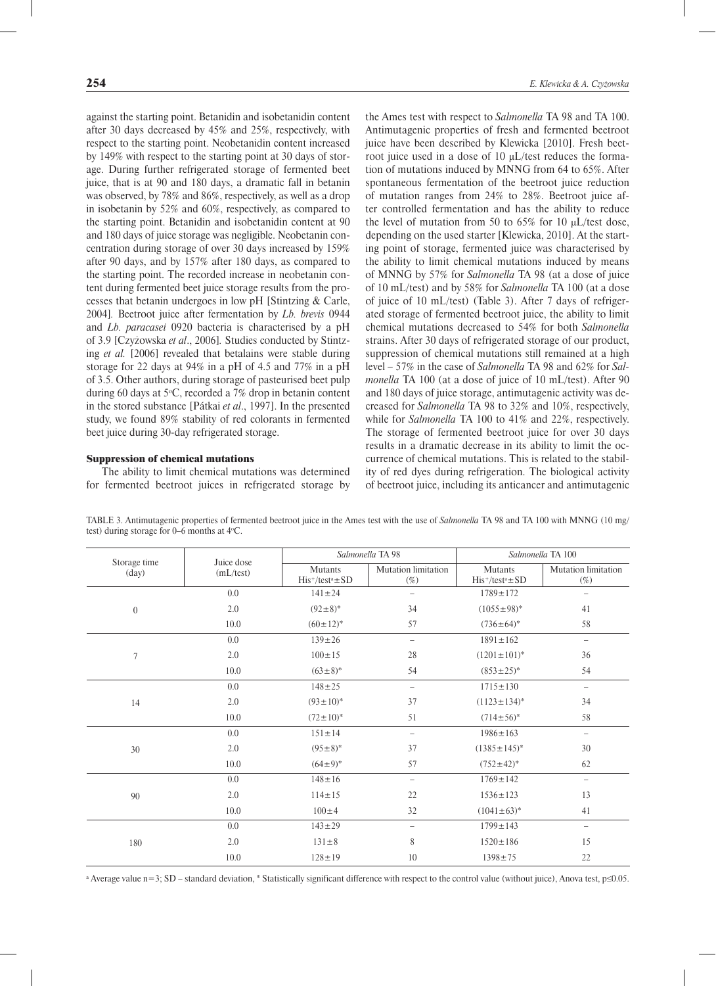against the starting point. Betanidin and isobetanidin content after 30 days decreased by 45% and 25%, respectively, with respect to the starting point. Neobetanidin content increased by 149% with respect to the starting point at 30 days of storage. During further refrigerated storage of fermented beet juice, that is at 90 and 180 days, a dramatic fall in betanin was observed, by 78% and 86%, respectively, as well as a drop in isobetanin by 52% and 60%, respectively, as compared to the starting point. Betanidin and isobetanidin content at 90 and 180 days of juice storage was negligible. Neobetanin concentration during storage of over 30 days increased by 159% after 90 days, and by 157% after 180 days, as compared to the starting point. The recorded increase in neobetanin content during fermented beet juice storage results from the processes that betanin undergoes in low pH [Stintzing & Carle, 2004]*.* Beetroot juice after fermentation by *Lb. brevis* 0944 and *Lb. paracasei* 0920 bacteria is characterised by a pH of 3.9 [Czyżowska *et al*., 2006]*.* Studies conducted by Stintzing *et al.* [2006] revealed that betalains were stable during storage for 22 days at 94% in a pH of 4.5 and 77% in a pH of 3.5. Other authors, during storage of pasteurised beet pulp during 60 days at 5 $\degree$ C, recorded a 7% drop in betanin content in the stored substance [Pátkai *et al*., 1997]. In the presented study, we found 89% stability of red colorants in fermented beet juice during 30-day refrigerated storage.

### Suppression of chemical mutations

The ability to limit chemical mutations was determined for fermented beetroot juices in refrigerated storage by

the Ames test with respect to *Salmonella* TA 98 and TA 100. Antimutagenic properties of fresh and fermented beetroot juice have been described by Klewicka [2010]. Fresh beetroot juice used in a dose of 10 μL/test reduces the formation of mutations induced by MNNG from 64 to 65%. After spontaneous fermentation of the beetroot juice reduction of mutation ranges from 24% to 28%. Beetroot juice after controlled fermentation and has the ability to reduce the level of mutation from 50 to 65% for 10 μL/test dose, depending on the used starter [Klewicka, 2010]. At the starting point of storage, fermented juice was characterised by the ability to limit chemical mutations induced by means of MNNG by 57% for *Salmonella* TA 98 (at a dose of juice of 10 mL/test) and by 58% for *Salmonella* TA 100 (at a dose of juice of 10 mL/test) (Table 3). After 7 days of refrigerated storage of fermented beetroot juice, the ability to limit chemical mutations decreased to 54% for both *Salmonella* strains. After 30 days of refrigerated storage of our product, suppression of chemical mutations still remained at a high level – 57% in the case of *Salmonella* TA 98 and 62% for *Salmonella* TA 100 (at a dose of juice of 10 mL/test). After 90 and 180 days of juice storage, antimutagenic activity was decreased for *Salmonella* TA 98 to 32% and 10%, respectively, while for *Salmonella* TA 100 to 41% and 22%, respectively. The storage of fermented beetroot juice for over 30 days results in a dramatic decrease in its ability to limit the occurrence of chemical mutations. This is related to the stability of red dyes during refrigeration. The biological activity of beetroot juice, including its anticancer and antimutagenic

| Storage time<br>Juice dose   |                                           | Salmonella TA 98                     |                                             | Salmonella TA 100                    |                          |
|------------------------------|-------------------------------------------|--------------------------------------|---------------------------------------------|--------------------------------------|--------------------------|
| $\frac{day}{ }$<br>(mL/test) | <b>Mutants</b><br>$His^{+/test^a \pm SD}$ | <b>Mutation limitation</b><br>$(\%)$ | <b>Mutants</b><br>$His^{+}/test^{a} \pm SD$ | <b>Mutation</b> limitation<br>$(\%)$ |                          |
|                              | 0.0                                       | $141 \pm 24$                         | $\qquad \qquad$                             | $1789 \pm 172$                       | $\overline{\phantom{m}}$ |
| $\boldsymbol{0}$             | 2.0                                       | $(92 \pm 8)^*$                       | 34                                          | $(1055 \pm 98)^*$                    | 41                       |
|                              | 10.0                                      | $(60 \pm 12)^*$                      | 57                                          | $(736 \pm 64)^*$                     | 58                       |
|                              | 0.0                                       | $139 \pm 26$                         | $\qquad \qquad -$                           | $1891 \pm 162$                       | $\qquad \qquad -$        |
| 7                            | 2.0                                       | $100 \pm 15$                         | 28                                          | $(1201 \pm 101)^*$                   | 36                       |
|                              | 10.0                                      | $(63\pm8)^*$                         | 54                                          | $(853 \pm 25)^*$                     | 54                       |
| 14                           | 0.0                                       | $148 \pm 25$                         | $\equiv$                                    | $1715 \pm 130$                       | $\overline{\phantom{m}}$ |
|                              | 2.0                                       | $(93 \pm 10)^*$                      | 37                                          | $(1123 \pm 134)^*$                   | 34                       |
|                              | 10.0                                      | $(72 \pm 10)^*$                      | 51                                          | $(714 \pm 56)^*$                     | 58                       |
|                              | 0.0                                       | $151 \pm 14$                         | $\qquad \qquad -$                           | $1986 \pm 163$                       | $\overline{\phantom{m}}$ |
| 30                           | 2.0                                       | $(95\pm8)^*$                         | 37                                          | $(1385 \pm 145)^*$                   | 30                       |
|                              | 10.0                                      | $(64\pm9)^*$                         | 57                                          | $(752 \pm 42)^*$                     | 62                       |
|                              | 0.0                                       | $148 \pm 16$                         | $\equiv$                                    | $1769 \pm 142$                       | $\overline{\phantom{m}}$ |
| 90                           | 2.0                                       | $114 \pm 15$                         | 22                                          | $1536 \pm 123$                       | 13                       |
|                              | 10.0                                      | $100 \pm 4$                          | 32                                          | $(1041 \pm 63)^*$                    | 41                       |
| 180                          | 0.0                                       | $143 \pm 29$                         | $\overline{\phantom{0}}$                    | $1799 \pm 143$                       | $\overline{\phantom{m}}$ |
|                              | 2.0                                       | $131 \pm 8$                          | 8                                           | $1520 \pm 186$                       | 15                       |
|                              | 10.0                                      | $128 \pm 19$                         | 10                                          | $1398 \pm 75$                        | 22                       |

TABLE 3. Antimutagenic properties of fermented beetroot juice in the Ames test with the use of *Salmonella* TA 98 and TA 100 with MNNG (10 mg/ test) during storage for 0–6 months at 4o C.

<sup>a</sup> Average value n=3; SD – standard deviation, \* Statistically significant difference with respect to the control value (without juice), Anova test, p≤0.05.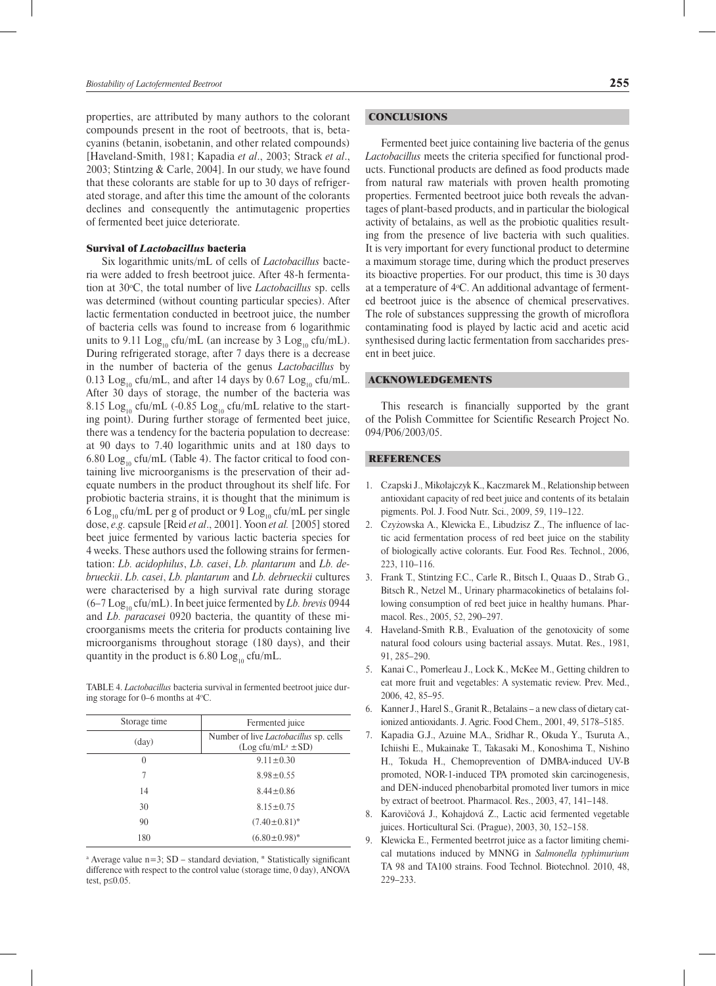properties, are attributed by many authors to the colorant compounds present in the root of beetroots, that is, betacyanins (betanin, isobetanin, and other related compounds) [Haveland-Smith, 1981; Kapadia *et al*., 2003; Strack *et al*., 2003; Stintzing & Carle, 2004]. In our study, we have found that these colorants are stable for up to 30 days of refrigerated storage, and after this time the amount of the colorants declines and consequently the antimutagenic properties of fermented beet juice deteriorate.

## Survival of *Lactobacillus* bacteria

Six logarithmic units/mL of cells of *Lactobacillus* bacteria were added to fresh beetroot juice. After 48-h fermentation at 30o C, the total number of live *Lactobacillus* sp. cells was determined (without counting particular species). After lactic fermentation conducted in beetroot juice, the number of bacteria cells was found to increase from 6 logarithmic units to 9.11  $Log_{10}$  cfu/mL (an increase by 3  $Log_{10}$  cfu/mL). During refrigerated storage, after 7 days there is a decrease in the number of bacteria of the genus *Lactobacillus* by 0.13 Log<sub>10</sub> cfu/mL, and after 14 days by 0.67 Log<sub>10</sub> cfu/mL. After 30 days of storage, the number of the bacteria was 8.15 Log<sub>10</sub> cfu/mL (-0.85 Log<sub>10</sub> cfu/mL relative to the starting point). During further storage of fermented beet juice, there was a tendency for the bacteria population to decrease: at 90 days to 7.40 logarithmic units and at 180 days to 6.80  $Log_{10}$  cfu/mL (Table 4). The factor critical to food containing live microorganisms is the preservation of their adequate numbers in the product throughout its shelf life. For probiotic bacteria strains, it is thought that the minimum is 6 Log<sub>10</sub> cfu/mL per g of product or 9 Log<sub>10</sub> cfu/mL per single dose, *e.g.* capsule [Reid *et al*., 2001]. Yoon *et al.* [2005] stored beet juice fermented by various lactic bacteria species for 4 weeks. These authors used the following strains for fermentation: *Lb. acidophilus*, *Lb. casei*, *Lb. plantarum* and *Lb. debrueckii*. *Lb. casei*, *Lb. plantarum* and *Lb. debrueckii* cultures were characterised by a high survival rate during storage  $(6-7 \text{Log}_{10} \text{ctu/mL})$ . In beet juice fermented by *Lb. brevis* 0944 and *Lb. paracasei* 0920 bacteria, the quantity of these microorganisms meets the criteria for products containing live microorganisms throughout storage (180 days), and their quantity in the product is 6.80  $Log_{10}$  cfu/mL.

TABLE 4. *Lactobacillus* bacteria survival in fermented beetroot juice during storage for  $0-6$  months at  $4\degree$ C.

| Storage time     | Fermented juice                                                          |  |
|------------------|--------------------------------------------------------------------------|--|
| $\text{(day)}$   | Number of live <i>Lactobacillus</i> sp. cells<br>$(Log cfu/mL^a \pm SD)$ |  |
| $\left( \right)$ | $9.11 \pm 0.30$                                                          |  |
| 7                | $8.98 \pm 0.55$                                                          |  |
| 14               | $8.44 \pm 0.86$                                                          |  |
| 30               | $8.15 \pm 0.75$                                                          |  |
| 90               | $(7.40 \pm 0.81)^*$                                                      |  |
| 180              | $(6.80 \pm 0.98)^*$                                                      |  |

<sup>a</sup> Average value n=3; SD – standard deviation, \* Statistically significant difference with respect to the control value (storage time, 0 day), ANOVA test,  $p \leq 0.05$ .

## **CONCLUSIONS**

Fermented beet juice containing live bacteria of the genus *Lactobacillus* meets the criteria specified for functional products. Functional products are defined as food products made from natural raw materials with proven health promoting properties. Fermented beetroot juice both reveals the advantages of plant-based products, and in particular the biological activity of betalains, as well as the probiotic qualities resulting from the presence of live bacteria with such qualities. It is very important for every functional product to determine a maximum storage time, during which the product preserves its bioactive properties. For our product, this time is 30 days at a temperature of 4°C. An additional advantage of fermented beetroot juice is the absence of chemical preservatives. The role of substances suppressing the growth of microflora contaminating food is played by lactic acid and acetic acid synthesised during lactic fermentation from saccharides present in beet juice.

## ACKNOWLEDGEMENTS

This research is financially supported by the grant of the Polish Committee for Scientific Research Project No. 094/P06/2003/05.

### REFERENCES

- 1. Czapski J., Mikołajczyk K., Kaczmarek M., Relationship between antioxidant capacity of red beet juice and contents of its betalain pigments. Pol. J. Food Nutr. Sci., 2009, 59, 119–122.
- 2. Czyżowska A., Klewicka E., Libudzisz Z., The influence of lactic acid fermentation process of red beet juice on the stability of biologically active colorants. Eur. Food Res. Technol., 2006, 223, 110–116.
- 3. Frank T., Stintzing F.C., Carle R., Bitsch I., Quaas D., Strab G., Bitsch R., Netzel M., Urinary pharmacokinetics of betalains following consumption of red beet juice in healthy humans. Pharmacol. Res., 2005, 52, 290–297.
- 4. Haveland-Smith R.B., Evaluation of the genotoxicity of some natural food colours using bacterial assays. Mutat. Res., 1981, 91, 285–290.
- 5. Kanai C., Pomerleau J., Lock K., McKee M., Getting children to eat more fruit and vegetables: A systematic review. Prev. Med., 2006, 42, 85–95.
- 6. Kanner J., Harel S., Granit R., Betalains a new class of dietary cationized antioxidants. J. Agric. Food Chem., 2001, 49, 5178–5185.
- 7. Kapadia G.J., Azuine M.A., Sridhar R., Okuda Y., Tsuruta A., Ichiishi E., Mukainake T., Takasaki M., Konoshima T., Nishino H., Tokuda H., Chemoprevention of DMBA-induced UV-B promoted, NOR-1-induced TPA promoted skin carcinogenesis, and DEN-induced phenobarbital promoted liver tumors in mice by extract of beetroot. Pharmacol. Res., 2003, 47, 141–148.
- 8. Karovičová J., Kohajdová Z., Lactic acid fermented vegetable juices. Horticultural Sci. (Prague), 2003, 30, 152–158.
- 9. Klewicka E., Fermented beetrrot juice as a factor limiting chemical mutations induced by MNNG in *Salmonella typhimurium* TA 98 and TA100 strains. Food Technol. Biotechnol. 2010, 48, 229–233.